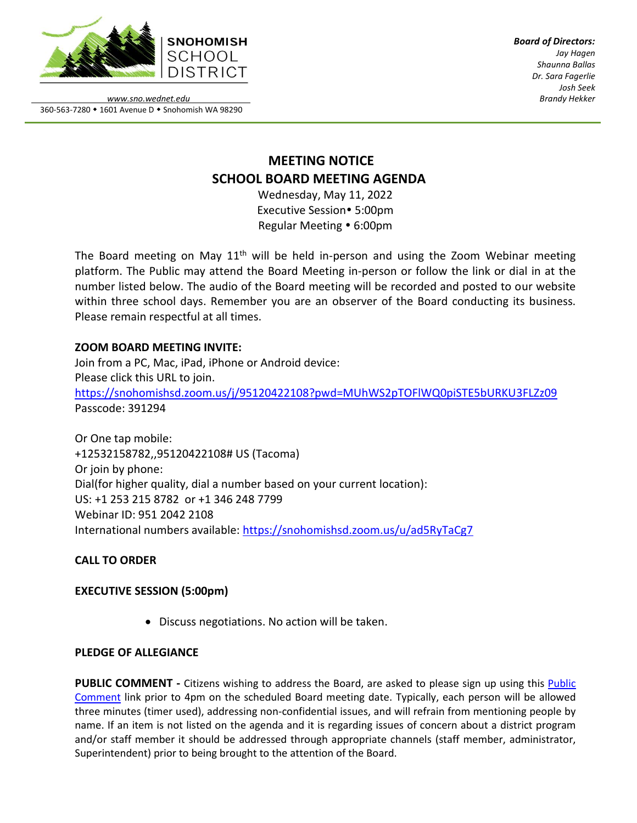

*Board of Directors: Jay Hagen Shaunna Ballas Dr. Sara Fagerlie Josh Seek Brandy Hekker*

*www.sno.wednet.edu* 360-563-7280 • 1601 Avenue D • Snohomish WA 98290

# **MEETING NOTICE SCHOOL BOARD MEETING AGENDA**

Wednesday, May 11, 2022 Executive Session• 5:00pm Regular Meeting • 6:00pm

The Board meeting on May  $11<sup>th</sup>$  will be held in-person and using the Zoom Webinar meeting platform. The Public may attend the Board Meeting in-person or follow the link or dial in at the number listed below. The audio of the Board meeting will be recorded and posted to our website within three school days. Remember you are an observer of the Board conducting its business. Please remain respectful at all times.

## **ZOOM BOARD MEETING INVITE:**

Join from a PC, Mac, iPad, iPhone or Android device: Please click this URL to join. <https://snohomishsd.zoom.us/j/95120422108?pwd=MUhWS2pTOFlWQ0piSTE5bURKU3FLZz09> Passcode: 391294

Or One tap mobile: +12532158782,,95120422108# US (Tacoma) Or join by phone: Dial(for higher quality, dial a number based on your current location): US: +1 253 215 8782 or +1 346 248 7799 Webinar ID: 951 2042 2108 International numbers available:<https://snohomishsd.zoom.us/u/ad5RyTaCg7>

# **CALL TO ORDER**

## **EXECUTIVE SESSION (5:00pm)**

• Discuss negotiations. No action will be taken.

## **PLEDGE OF ALLEGIANCE**

**PUBLIC COMMENT -** Citizens wishing to address the Board, are asked to please sign up using this [Public](https://www.sno.wednet.edu/site/Default.aspx?PageID=5004) [Comment](https://www.sno.wednet.edu/site/Default.aspx?PageID=5004) link prior to 4pm on the scheduled Board meeting date. Typically, each person will be allowed three minutes (timer used), addressing non-confidential issues, and will refrain from mentioning people by name. If an item is not listed on the agenda and it is regarding issues of concern about a district program and/or staff member it should be addressed through appropriate channels (staff member, administrator, Superintendent) prior to being brought to the attention of the Board.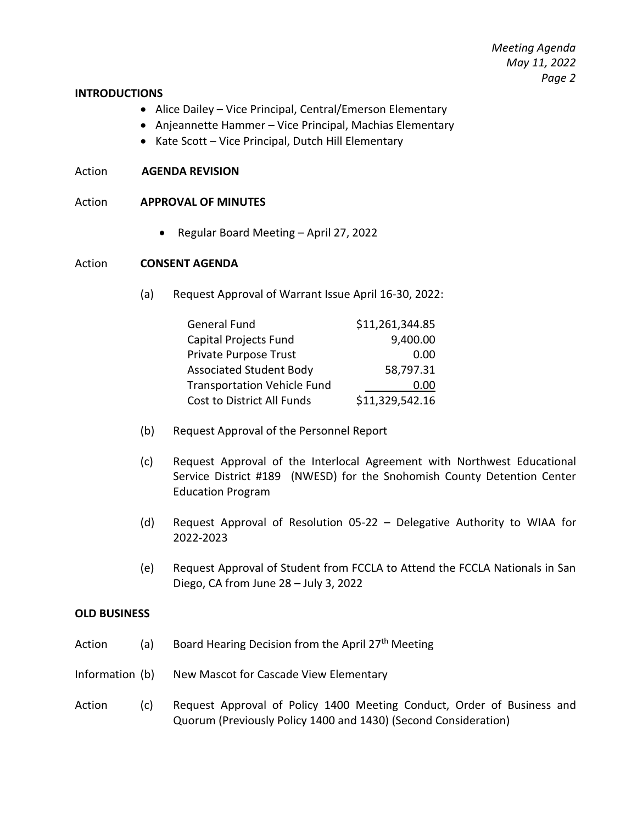#### **INTRODUCTIONS**

- Alice Dailey Vice Principal, Central/Emerson Elementary
- Anjeannette Hammer Vice Principal, Machias Elementary
- Kate Scott Vice Principal, Dutch Hill Elementary

### Action **AGENDA REVISION**

### Action **APPROVAL OF MINUTES**

• Regular Board Meeting – April 27, 2022

#### Action **CONSENT AGENDA**

(a) Request Approval of Warrant Issue April 16-30, 2022:

| <b>General Fund</b>                | \$11,261,344.85 |
|------------------------------------|-----------------|
| Capital Projects Fund              | 9,400.00        |
| Private Purpose Trust              | 0.00            |
| <b>Associated Student Body</b>     | 58,797.31       |
| <b>Transportation Vehicle Fund</b> | 0.00            |
| Cost to District All Funds         | \$11,329,542.16 |

- (b) Request Approval of the Personnel Report
- (c) Request Approval of the Interlocal Agreement with Northwest Educational Service District #189 (NWESD) for the Snohomish County Detention Center Education Program
- (d) Request Approval of Resolution 05-22 Delegative Authority to WIAA for 2022-2023
- (e) Request Approval of Student from FCCLA to Attend the FCCLA Nationals in San Diego, CA from June 28 – July 3, 2022

#### **OLD BUSINESS**

- Action (a) Board Hearing Decision from the April 27<sup>th</sup> Meeting
- Information (b) New Mascot for Cascade View Elementary
- Action (c) Request Approval of Policy 1400 Meeting Conduct, Order of Business and Quorum (Previously Policy 1400 and 1430) (Second Consideration)